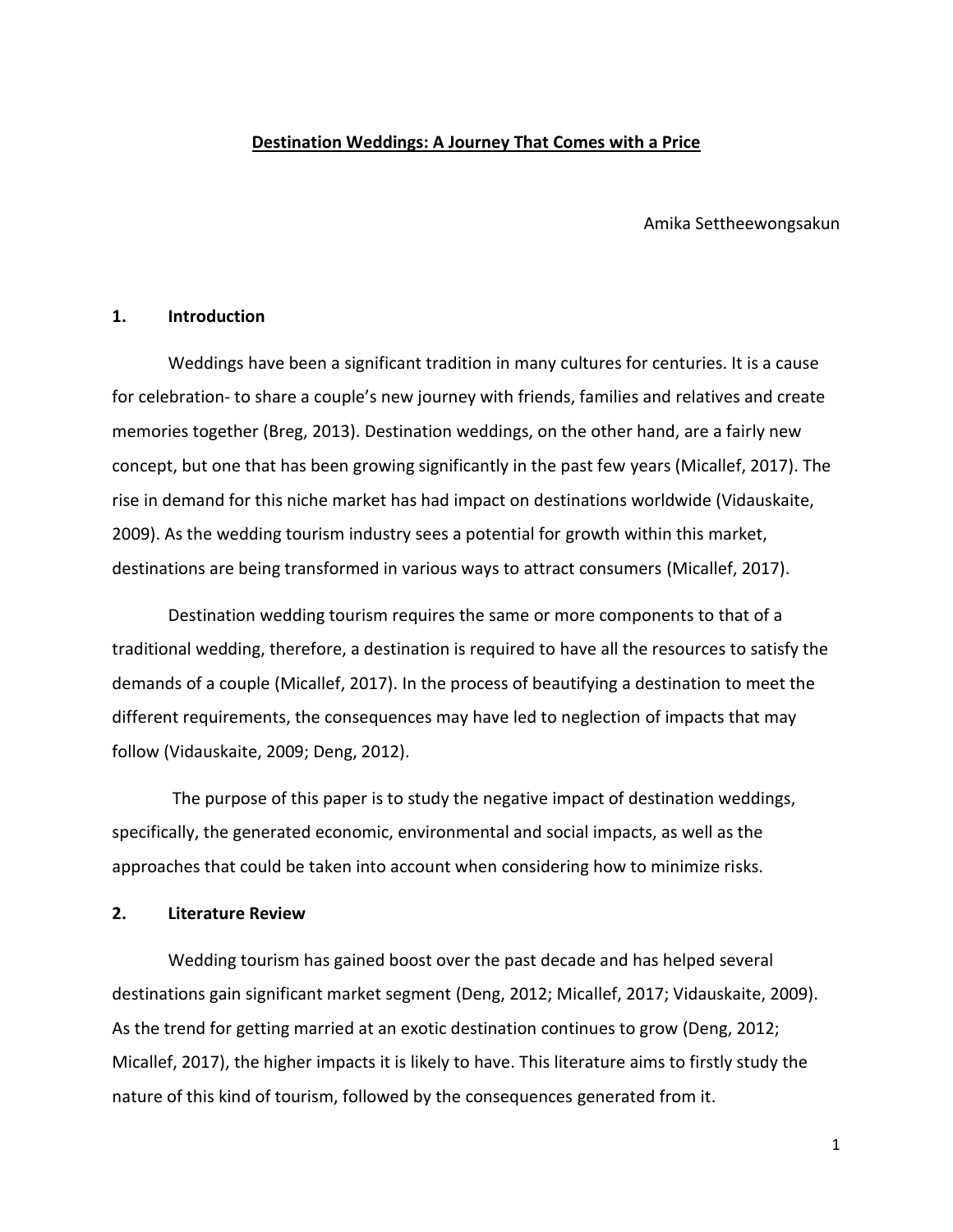### **Destination Weddings: A Journey That Comes with a Price**

Amika Settheewongsakun

### **1. Introduction**

Weddings have been a significant tradition in many cultures for centuries. It is a cause for celebration- to share a couple's new journey with friends, families and relatives and create memories together (Breg, 2013). Destination weddings, on the other hand, are a fairly new concept, but one that has been growing significantly in the past few years (Micallef, 2017). The rise in demand for this niche market has had impact on destinations worldwide (Vidauskaite, 2009). As the wedding tourism industry sees a potential for growth within this market, destinations are being transformed in various ways to attract consumers (Micallef, 2017).

Destination wedding tourism requires the same or more components to that of a traditional wedding, therefore, a destination is required to have all the resources to satisfy the demands of a couple (Micallef, 2017). In the process of beautifying a destination to meet the different requirements, the consequences may have led to neglection of impacts that may follow (Vidauskaite, 2009; Deng, 2012).

The purpose of this paper is to study the negative impact of destination weddings, specifically, the generated economic, environmental and social impacts, as well as the approaches that could be taken into account when considering how to minimize risks.

### **2. Literature Review**

Wedding tourism has gained boost over the past decade and has helped several destinations gain significant market segment (Deng, 2012; Micallef, 2017; Vidauskaite, 2009). As the trend for getting married at an exotic destination continues to grow (Deng, 2012; Micallef, 2017), the higher impacts it is likely to have. This literature aims to firstly study the nature of this kind of tourism, followed by the consequences generated from it.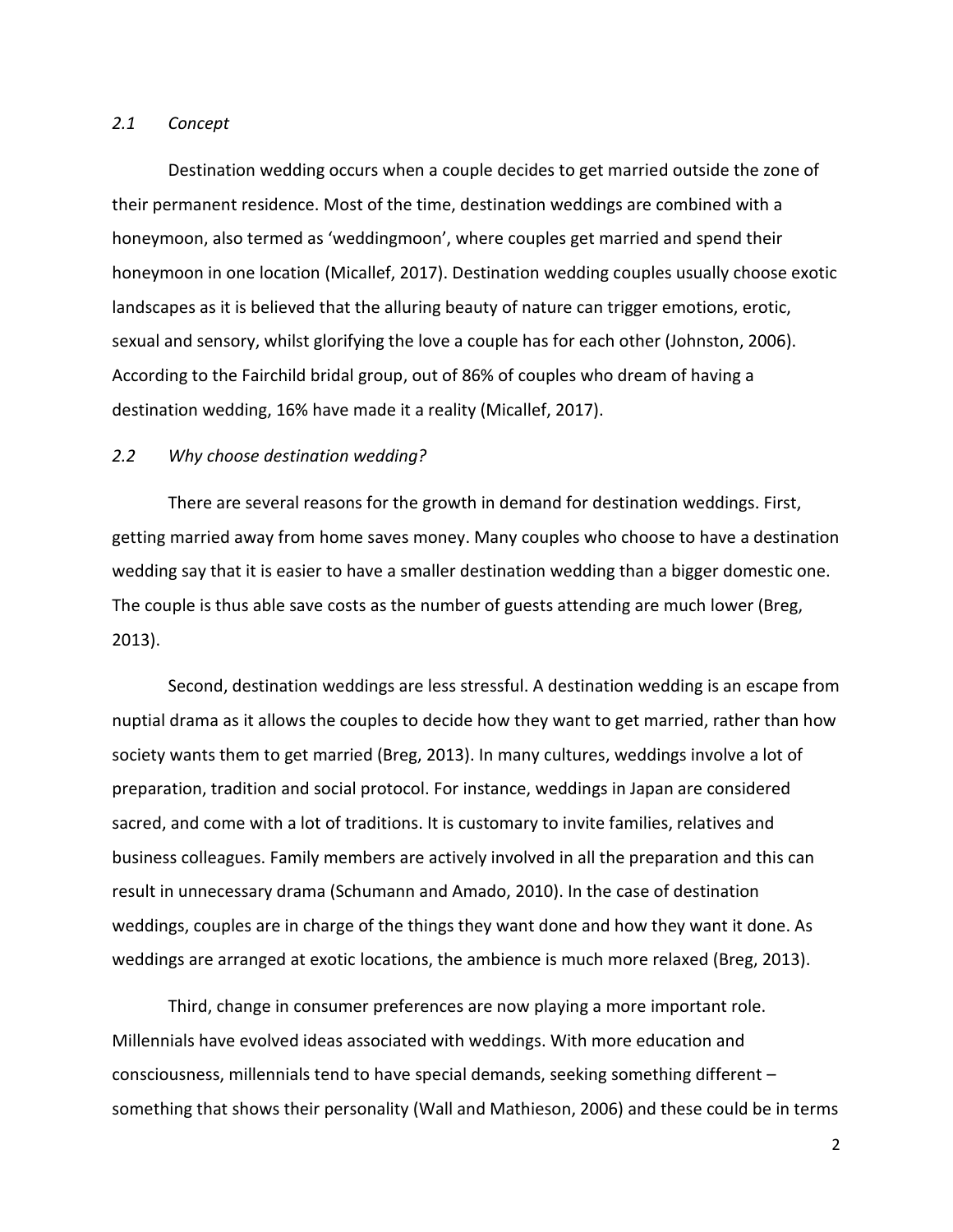### *2.1 Concept*

Destination wedding occurs when a couple decides to get married outside the zone of their permanent residence. Most of the time, destination weddings are combined with a honeymoon, also termed as 'weddingmoon', where couples get married and spend their honeymoon in one location (Micallef, 2017). Destination wedding couples usually choose exotic landscapes as it is believed that the alluring beauty of nature can trigger emotions, erotic, sexual and sensory, whilst glorifying the love a couple has for each other (Johnston, 2006). According to the Fairchild bridal group, out of 86% of couples who dream of having a destination wedding, 16% have made it a reality (Micallef, 2017).

### *2.2 Why choose destination wedding?*

There are several reasons for the growth in demand for destination weddings. First, getting married away from home saves money. Many couples who choose to have a destination wedding say that it is easier to have a smaller destination wedding than a bigger domestic one. The couple is thus able save costs as the number of guests attending are much lower (Breg, 2013).

Second, destination weddings are less stressful. A destination wedding is an escape from nuptial drama as it allows the couples to decide how they want to get married, rather than how society wants them to get married (Breg, 2013). In many cultures, weddings involve a lot of preparation, tradition and social protocol. For instance, weddings in Japan are considered sacred, and come with a lot of traditions. It is customary to invite families, relatives and business colleagues. Family members are actively involved in all the preparation and this can result in unnecessary drama (Schumann and Amado, 2010). In the case of destination weddings, couples are in charge of the things they want done and how they want it done. As weddings are arranged at exotic locations, the ambience is much more relaxed (Breg, 2013).

Third, change in consumer preferences are now playing a more important role. Millennials have evolved ideas associated with weddings. With more education and consciousness, millennials tend to have special demands, seeking something different – something that shows their personality (Wall and Mathieson, 2006) and these could be in terms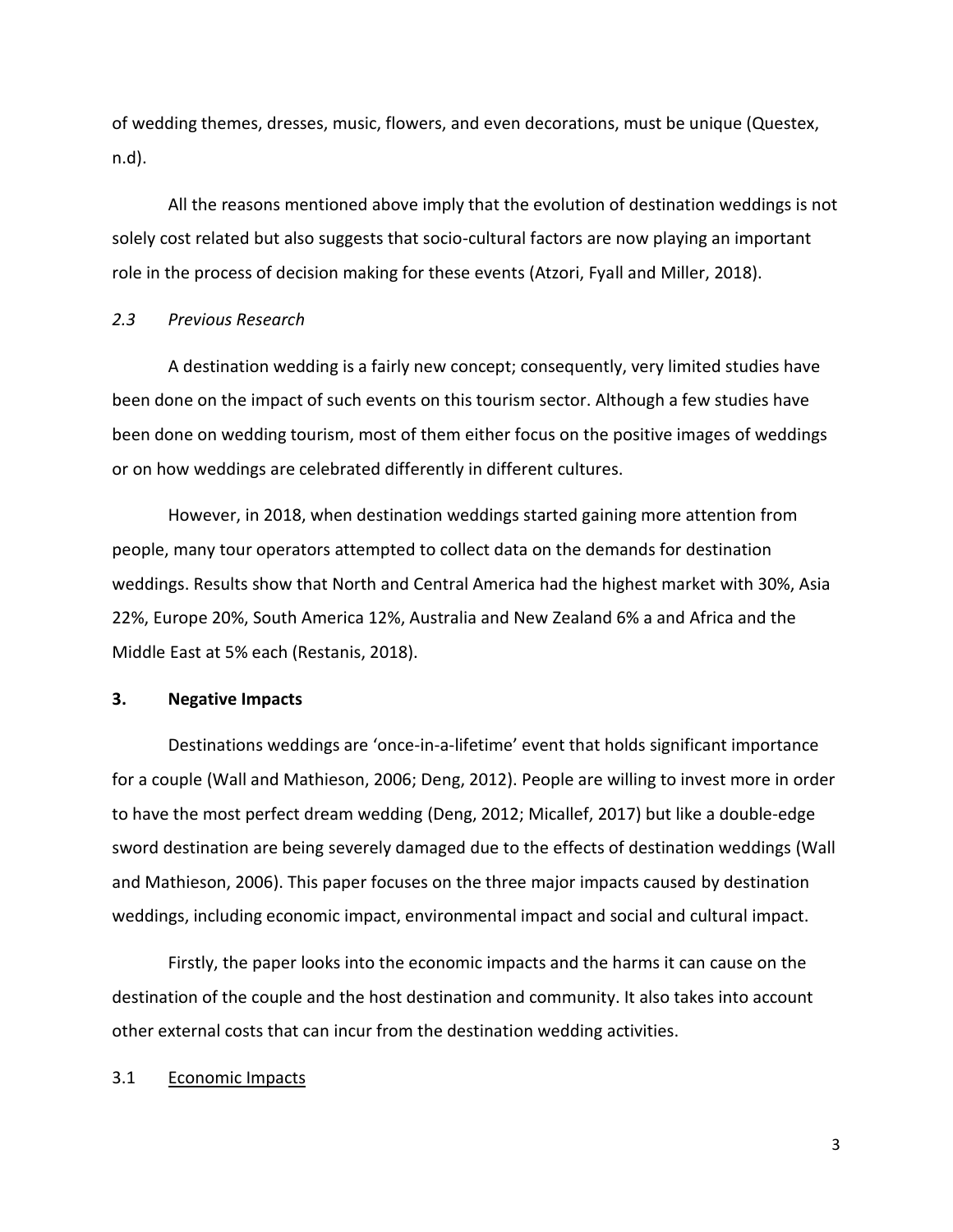of wedding themes, dresses, music, flowers, and even decorations, must be unique (Questex, n.d).

All the reasons mentioned above imply that the evolution of destination weddings is not solely cost related but also suggests that socio-cultural factors are now playing an important role in the process of decision making for these events (Atzori, Fyall and Miller, 2018).

### *2.3 Previous Research*

A destination wedding is a fairly new concept; consequently, very limited studies have been done on the impact of such events on this tourism sector. Although a few studies have been done on wedding tourism, most of them either focus on the positive images of weddings or on how weddings are celebrated differently in different cultures.

However, in 2018, when destination weddings started gaining more attention from people, many tour operators attempted to collect data on the demands for destination weddings. Results show that North and Central America had the highest market with 30%, Asia 22%, Europe 20%, South America 12%, Australia and New Zealand 6% a and Africa and the Middle East at 5% each (Restanis, 2018).

### **3. Negative Impacts**

Destinations weddings are 'once-in-a-lifetime' event that holds significant importance for a couple (Wall and Mathieson, 2006; Deng, 2012). People are willing to invest more in order to have the most perfect dream wedding (Deng, 2012; Micallef, 2017) but like a double-edge sword destination are being severely damaged due to the effects of destination weddings (Wall and Mathieson, 2006). This paper focuses on the three major impacts caused by destination weddings, including economic impact, environmental impact and social and cultural impact.

Firstly, the paper looks into the economic impacts and the harms it can cause on the destination of the couple and the host destination and community. It also takes into account other external costs that can incur from the destination wedding activities.

# 3.1 Economic Impacts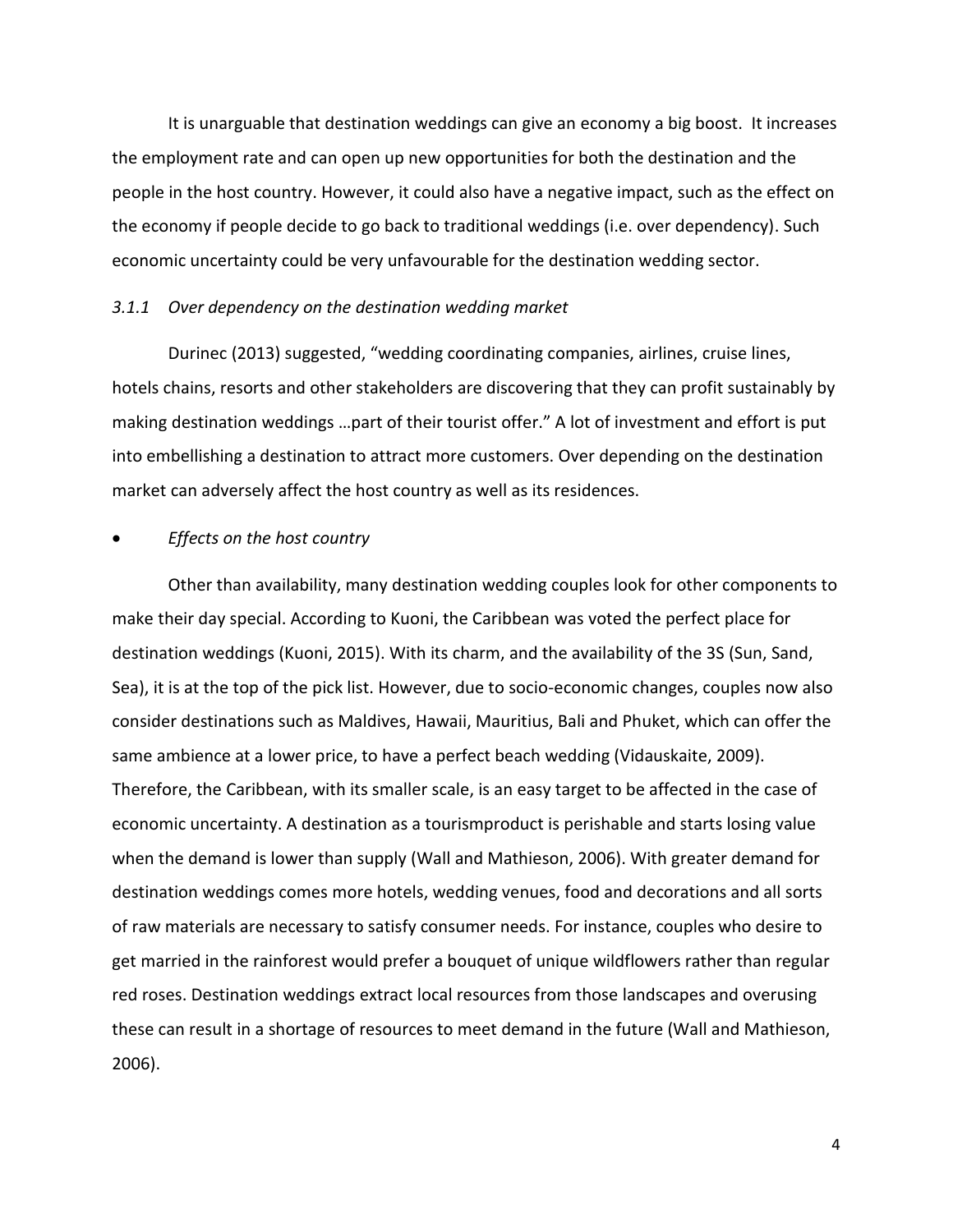It is unarguable that destination weddings can give an economy a big boost. It increases the employment rate and can open up new opportunities for both the destination and the people in the host country. However, it could also have a negative impact, such as the effect on the economy if people decide to go back to traditional weddings (i.e. over dependency). Such economic uncertainty could be very unfavourable for the destination wedding sector.

### *3.1.1 Over dependency on the destination wedding market*

Durinec (2013) suggested, "wedding coordinating companies, airlines, cruise lines, hotels chains, resorts and other stakeholders are discovering that they can profit sustainably by making destination weddings …part of their tourist offer." A lot of investment and effort is put into embellishing a destination to attract more customers. Over depending on the destination market can adversely affect the host country as well as its residences.

# • *Effects on the host country*

Other than availability, many destination wedding couples look for other components to make their day special. According to Kuoni, the Caribbean was voted the perfect place for destination weddings (Kuoni, 2015). With its charm, and the availability of the 3S (Sun, Sand, Sea), it is at the top of the pick list. However, due to socio-economic changes, couples now also consider destinations such as Maldives, Hawaii, Mauritius, Bali and Phuket, which can offer the same ambience at a lower price, to have a perfect beach wedding (Vidauskaite, 2009). Therefore, the Caribbean, with its smaller scale, is an easy target to be affected in the case of economic uncertainty. A destination as a tourismproduct is perishable and starts losing value when the demand is lower than supply (Wall and Mathieson, 2006). With greater demand for destination weddings comes more hotels, wedding venues, food and decorations and all sorts of raw materials are necessary to satisfy consumer needs. For instance, couples who desire to get married in the rainforest would prefer a bouquet of unique wildflowers rather than regular red roses. Destination weddings extract local resources from those landscapes and overusing these can result in a shortage of resources to meet demand in the future (Wall and Mathieson, 2006).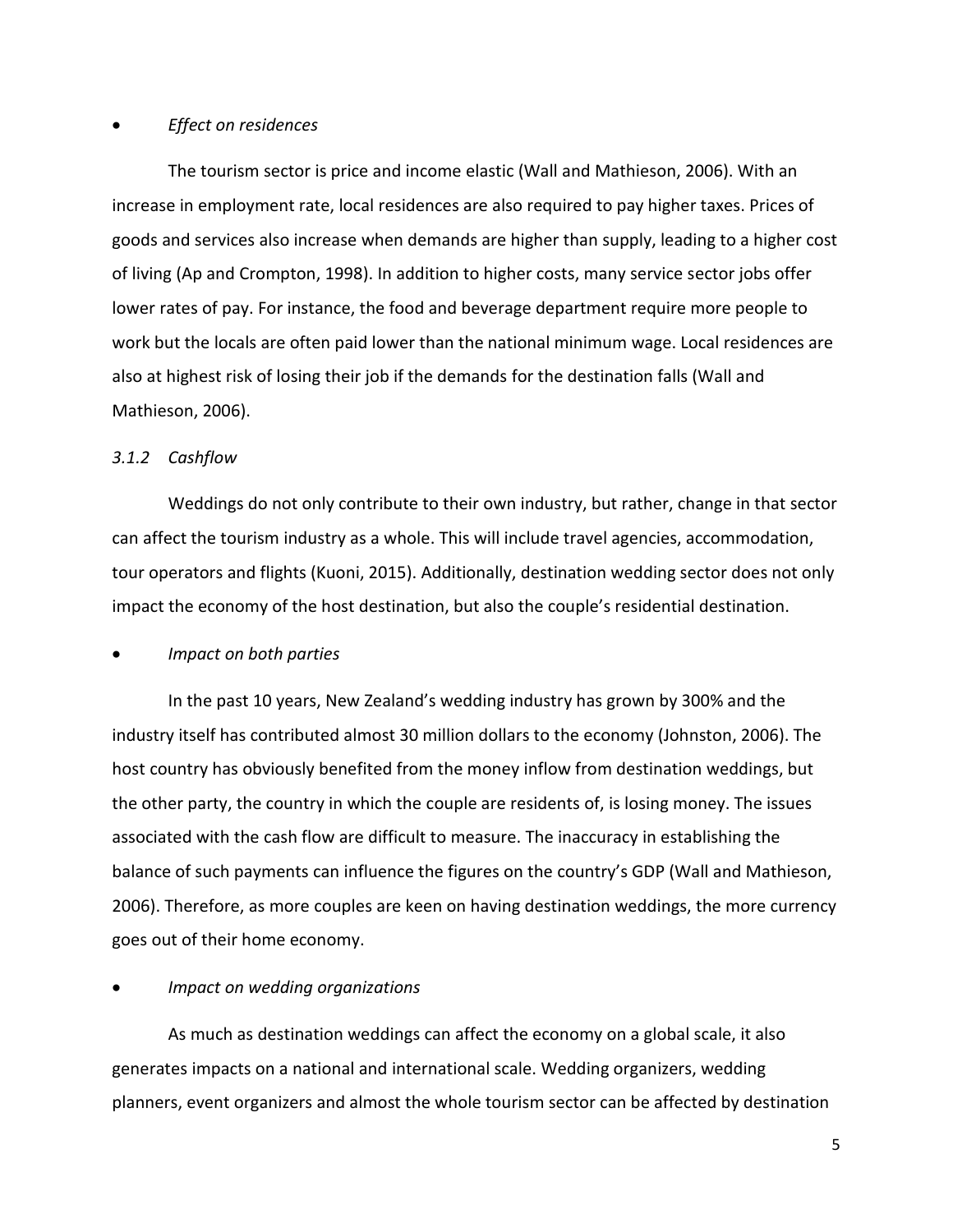# • *Effect on residences*

The tourism sector is price and income elastic (Wall and Mathieson, 2006). With an increase in employment rate, local residences are also required to pay higher taxes. Prices of goods and services also increase when demands are higher than supply, leading to a higher cost of living (Ap and Crompton, 1998). In addition to higher costs, many service sector jobs offer lower rates of pay. For instance, the food and beverage department require more people to work but the locals are often paid lower than the national minimum wage. Local residences are also at highest risk of losing their job if the demands for the destination falls (Wall and Mathieson, 2006).

## *3.1.2 Cashflow*

Weddings do not only contribute to their own industry, but rather, change in that sector can affect the tourism industry as a whole. This will include travel agencies, accommodation, tour operators and flights (Kuoni, 2015). Additionally, destination wedding sector does not only impact the economy of the host destination, but also the couple's residential destination.

• *Impact on both parties* 

In the past 10 years, New Zealand's wedding industry has grown by 300% and the industry itself has contributed almost 30 million dollars to the economy (Johnston, 2006). The host country has obviously benefited from the money inflow from destination weddings, but the other party, the country in which the couple are residents of, is losing money. The issues associated with the cash flow are difficult to measure. The inaccuracy in establishing the balance of such payments can influence the figures on the country's GDP (Wall and Mathieson, 2006). Therefore, as more couples are keen on having destination weddings, the more currency goes out of their home economy.

## • *Impact on wedding organizations*

As much as destination weddings can affect the economy on a global scale, it also generates impacts on a national and international scale. Wedding organizers, wedding planners, event organizers and almost the whole tourism sector can be affected by destination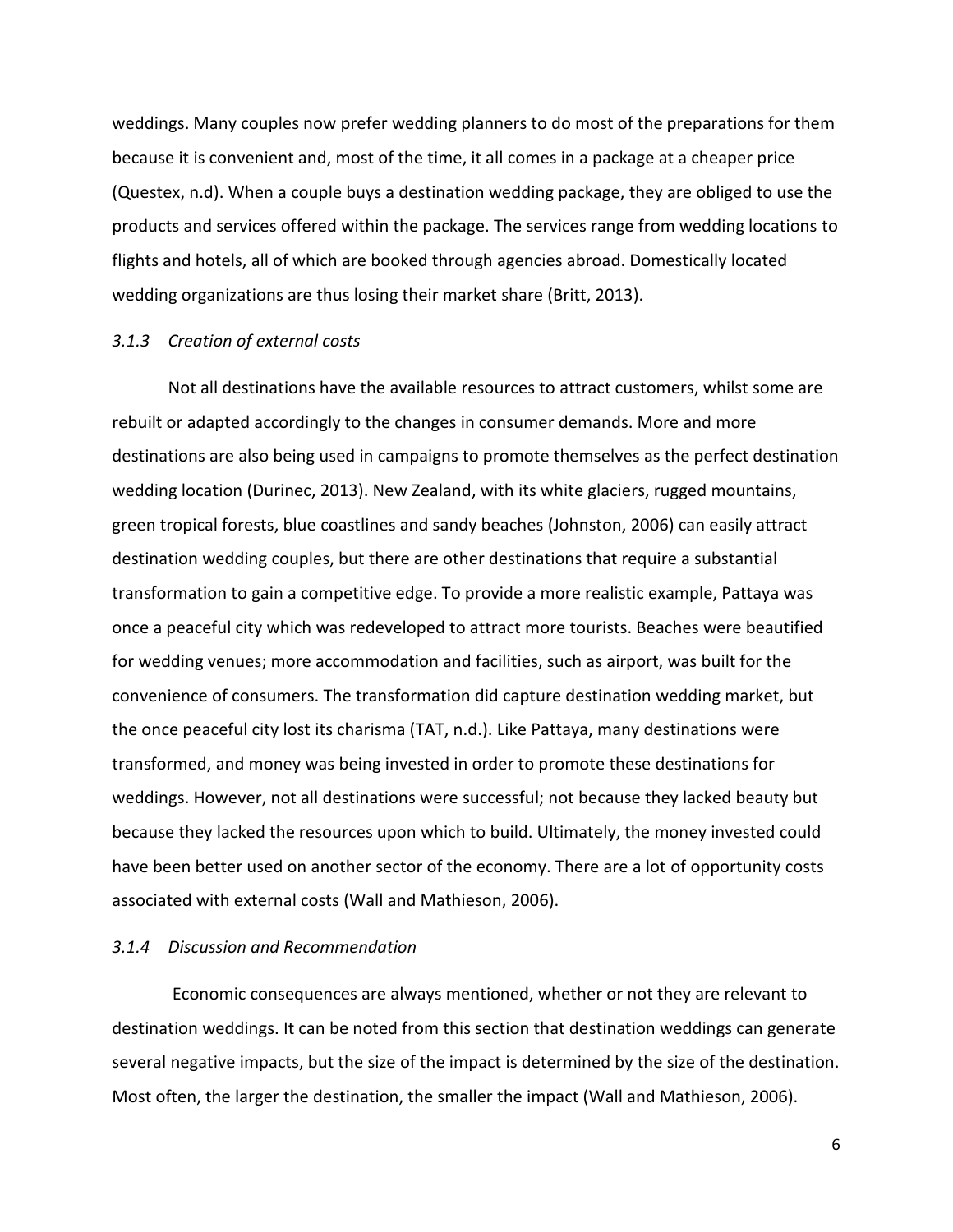weddings. Many couples now prefer wedding planners to do most of the preparations for them because it is convenient and, most of the time, it all comes in a package at a cheaper price (Questex, n.d). When a couple buys a destination wedding package, they are obliged to use the products and services offered within the package. The services range from wedding locations to flights and hotels, all of which are booked through agencies abroad. Domestically located wedding organizations are thus losing their market share (Britt, 2013).

## *3.1.3 Creation of external costs*

Not all destinations have the available resources to attract customers, whilst some are rebuilt or adapted accordingly to the changes in consumer demands. More and more destinations are also being used in campaigns to promote themselves as the perfect destination wedding location (Durinec, 2013). New Zealand, with its white glaciers, rugged mountains, green tropical forests, blue coastlines and sandy beaches (Johnston, 2006) can easily attract destination wedding couples, but there are other destinations that require a substantial transformation to gain a competitive edge. To provide a more realistic example, Pattaya was once a peaceful city which was redeveloped to attract more tourists. Beaches were beautified for wedding venues; more accommodation and facilities, such as airport, was built for the convenience of consumers. The transformation did capture destination wedding market, but the once peaceful city lost its charisma (TAT, n.d.). Like Pattaya, many destinations were transformed, and money was being invested in order to promote these destinations for weddings. However, not all destinations were successful; not because they lacked beauty but because they lacked the resources upon which to build. Ultimately, the money invested could have been better used on another sector of the economy. There are a lot of opportunity costs associated with external costs (Wall and Mathieson, 2006).

#### *3.1.4 Discussion and Recommendation*

Economic consequences are always mentioned, whether or not they are relevant to destination weddings. It can be noted from this section that destination weddings can generate several negative impacts, but the size of the impact is determined by the size of the destination. Most often, the larger the destination, the smaller the impact (Wall and Mathieson, 2006).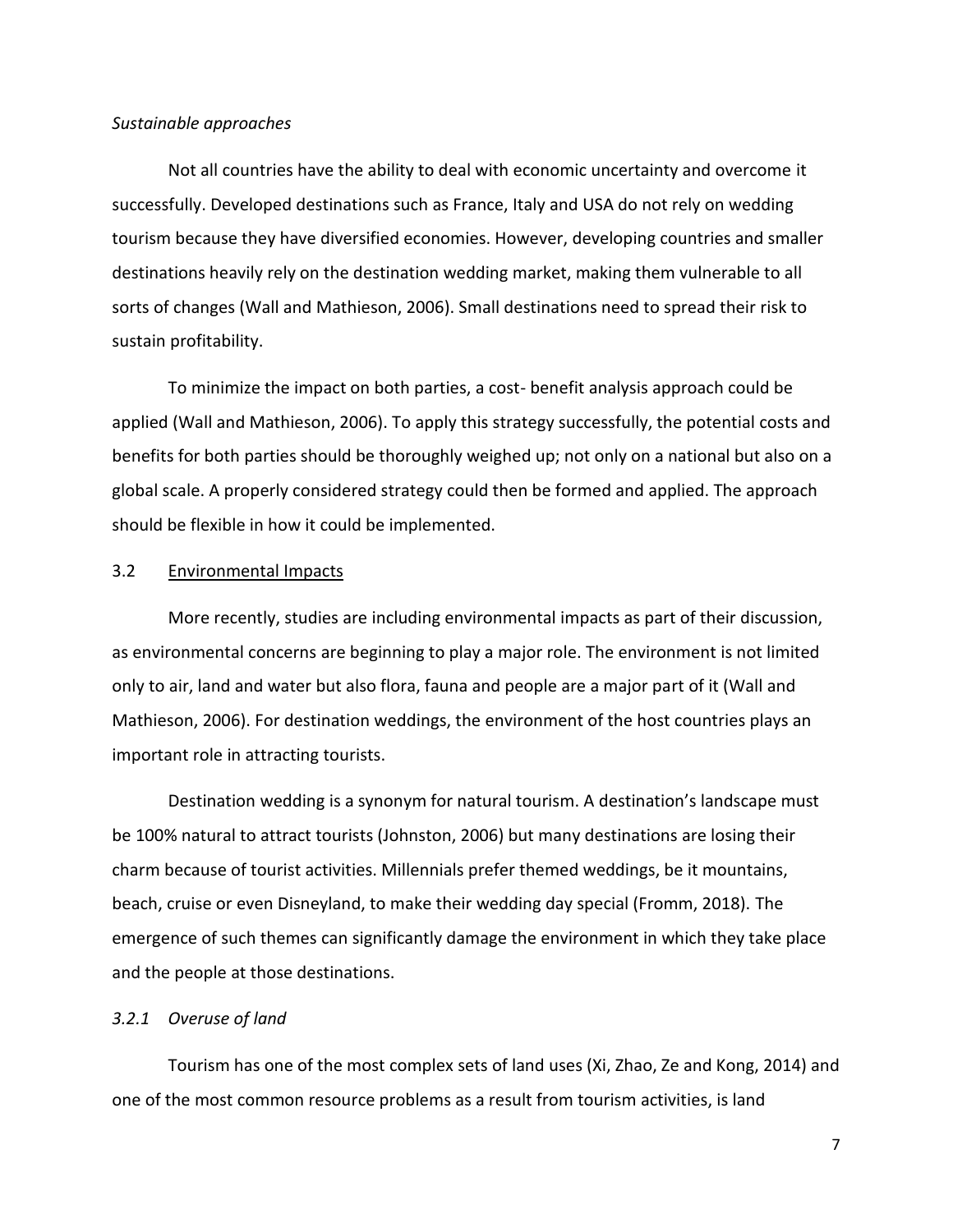### *Sustainable approaches*

Not all countries have the ability to deal with economic uncertainty and overcome it successfully. Developed destinations such as France, Italy and USA do not rely on wedding tourism because they have diversified economies. However, developing countries and smaller destinations heavily rely on the destination wedding market, making them vulnerable to all sorts of changes (Wall and Mathieson, 2006). Small destinations need to spread their risk to sustain profitability.

To minimize the impact on both parties, a cost- benefit analysis approach could be applied (Wall and Mathieson, 2006). To apply this strategy successfully, the potential costs and benefits for both parties should be thoroughly weighed up; not only on a national but also on a global scale. A properly considered strategy could then be formed and applied. The approach should be flexible in how it could be implemented.

## 3.2 Environmental Impacts

More recently, studies are including environmental impacts as part of their discussion, as environmental concerns are beginning to play a major role. The environment is not limited only to air, land and water but also flora, fauna and people are a major part of it (Wall and Mathieson, 2006). For destination weddings, the environment of the host countries plays an important role in attracting tourists.

Destination wedding is a synonym for natural tourism. A destination's landscape must be 100% natural to attract tourists (Johnston, 2006) but many destinations are losing their charm because of tourist activities. Millennials prefer themed weddings, be it mountains, beach, cruise or even Disneyland, to make their wedding day special (Fromm, 2018). The emergence of such themes can significantly damage the environment in which they take place and the people at those destinations.

### *3.2.1 Overuse of land*

Tourism has one of the most complex sets of land uses (Xi, Zhao, Ze and Kong, 2014) and one of the most common resource problems as a result from tourism activities, is land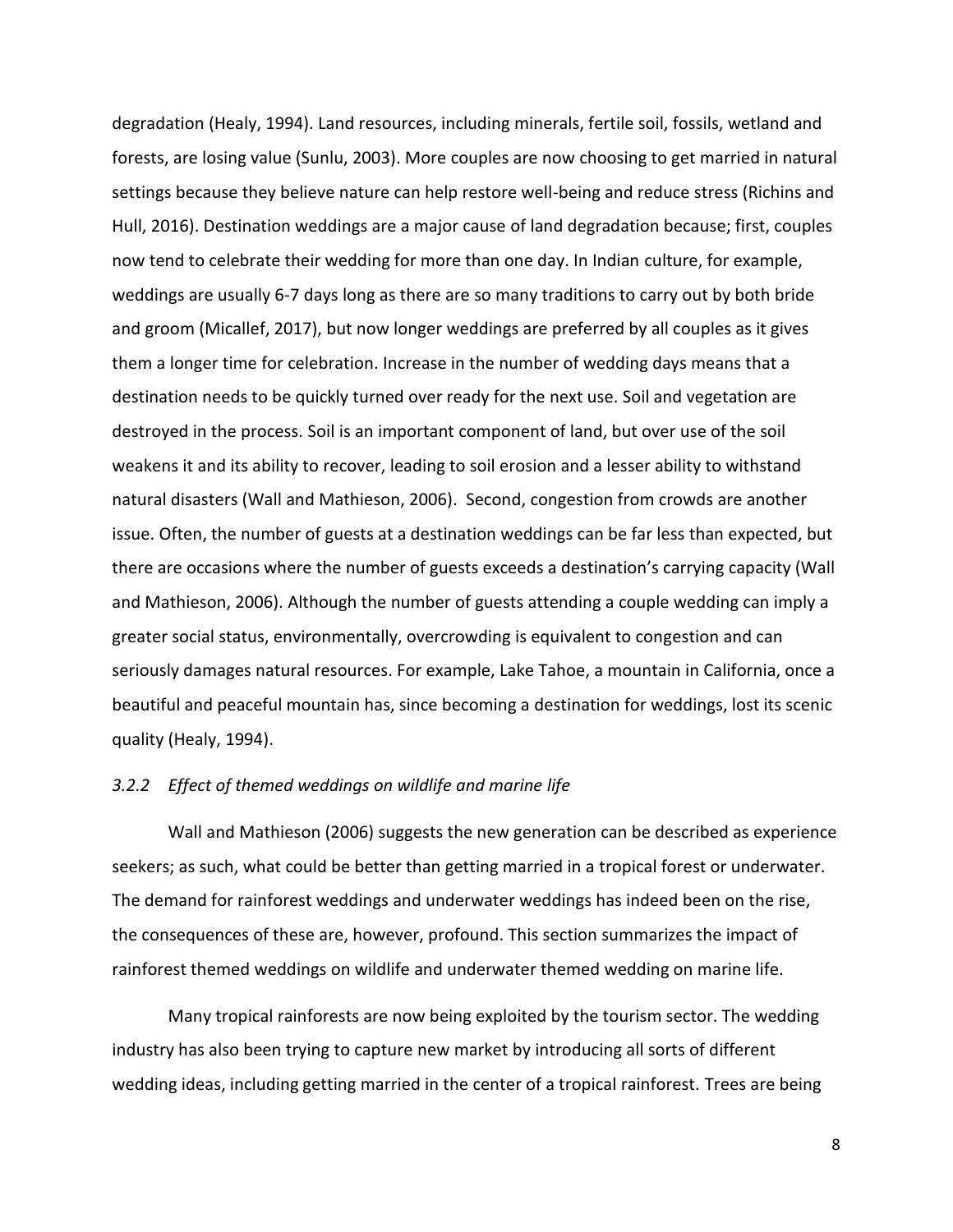degradation (Healy, 1994). Land resources, including minerals, fertile soil, fossils, wetland and forests, are losing value (Sunlu, 2003). More couples are now choosing to get married in natural settings because they believe nature can help restore well-being and reduce stress (Richins and Hull, 2016). Destination weddings are a major cause of land degradation because; first, couples now tend to celebrate their wedding for more than one day. In Indian culture, for example, weddings are usually 6-7 days long as there are so many traditions to carry out by both bride and groom (Micallef, 2017), but now longer weddings are preferred by all couples as it gives them a longer time for celebration. Increase in the number of wedding days means that a destination needs to be quickly turned over ready for the next use. Soil and vegetation are destroyed in the process. Soil is an important component of land, but over use of the soil weakens it and its ability to recover, leading to soil erosion and a lesser ability to withstand natural disasters (Wall and Mathieson, 2006). Second, congestion from crowds are another issue. Often, the number of guests at a destination weddings can be far less than expected, but there are occasions where the number of guests exceeds a destination's carrying capacity (Wall and Mathieson, 2006). Although the number of guests attending a couple wedding can imply a greater social status, environmentally, overcrowding is equivalent to congestion and can seriously damages natural resources. For example, Lake Tahoe, a mountain in California, once a beautiful and peaceful mountain has, since becoming a destination for weddings, lost its scenic quality (Healy, 1994).

# *3.2.2 Effect of themed weddings on wildlife and marine life*

Wall and Mathieson (2006) suggests the new generation can be described as experience seekers; as such, what could be better than getting married in a tropical forest or underwater. The demand for rainforest weddings and underwater weddings has indeed been on the rise, the consequences of these are, however, profound. This section summarizes the impact of rainforest themed weddings on wildlife and underwater themed wedding on marine life.

Many tropical rainforests are now being exploited by the tourism sector. The wedding industry has also been trying to capture new market by introducing all sorts of different wedding ideas, including getting married in the center of a tropical rainforest. Trees are being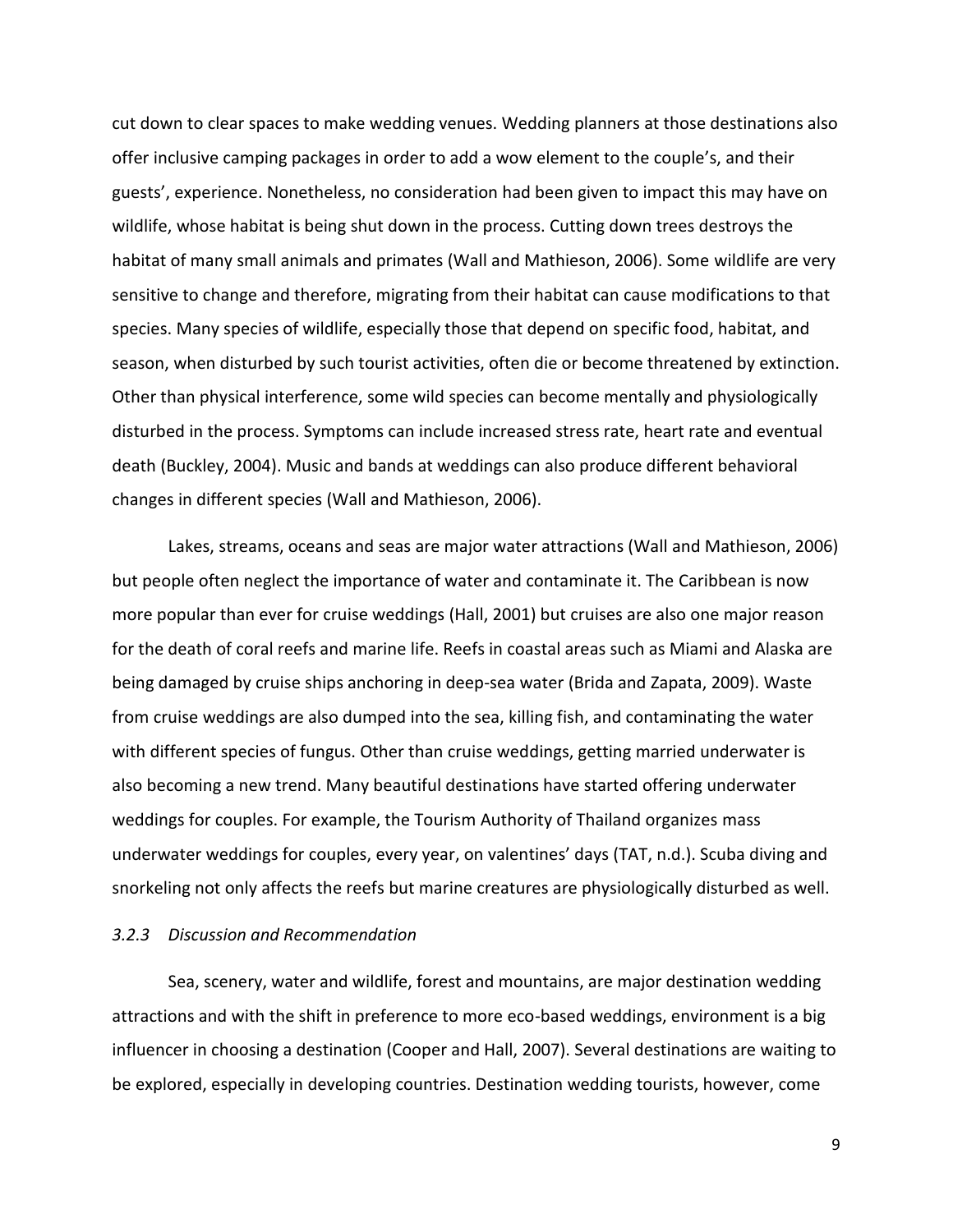cut down to clear spaces to make wedding venues. Wedding planners at those destinations also offer inclusive camping packages in order to add a wow element to the couple's, and their guests', experience. Nonetheless, no consideration had been given to impact this may have on wildlife, whose habitat is being shut down in the process. Cutting down trees destroys the habitat of many small animals and primates (Wall and Mathieson, 2006). Some wildlife are very sensitive to change and therefore, migrating from their habitat can cause modifications to that species. Many species of wildlife, especially those that depend on specific food, habitat, and season, when disturbed by such tourist activities, often die or become threatened by extinction. Other than physical interference, some wild species can become mentally and physiologically disturbed in the process. Symptoms can include increased stress rate, heart rate and eventual death (Buckley, 2004). Music and bands at weddings can also produce different behavioral changes in different species (Wall and Mathieson, 2006).

Lakes, streams, oceans and seas are major water attractions (Wall and Mathieson, 2006) but people often neglect the importance of water and contaminate it. The Caribbean is now more popular than ever for cruise weddings (Hall, 2001) but cruises are also one major reason for the death of coral reefs and marine life. Reefs in coastal areas such as Miami and Alaska are being damaged by cruise ships anchoring in deep-sea water (Brida and Zapata, 2009). Waste from cruise weddings are also dumped into the sea, killing fish, and contaminating the water with different species of fungus. Other than cruise weddings, getting married underwater is also becoming a new trend. Many beautiful destinations have started offering underwater weddings for couples. For example, the Tourism Authority of Thailand organizes mass underwater weddings for couples, every year, on valentines' days (TAT, n.d.). Scuba diving and snorkeling not only affects the reefs but marine creatures are physiologically disturbed as well.

### *3.2.3 Discussion and Recommendation*

Sea, scenery, water and wildlife, forest and mountains, are major destination wedding attractions and with the shift in preference to more eco-based weddings, environment is a big influencer in choosing a destination (Cooper and Hall, 2007). Several destinations are waiting to be explored, especially in developing countries. Destination wedding tourists, however, come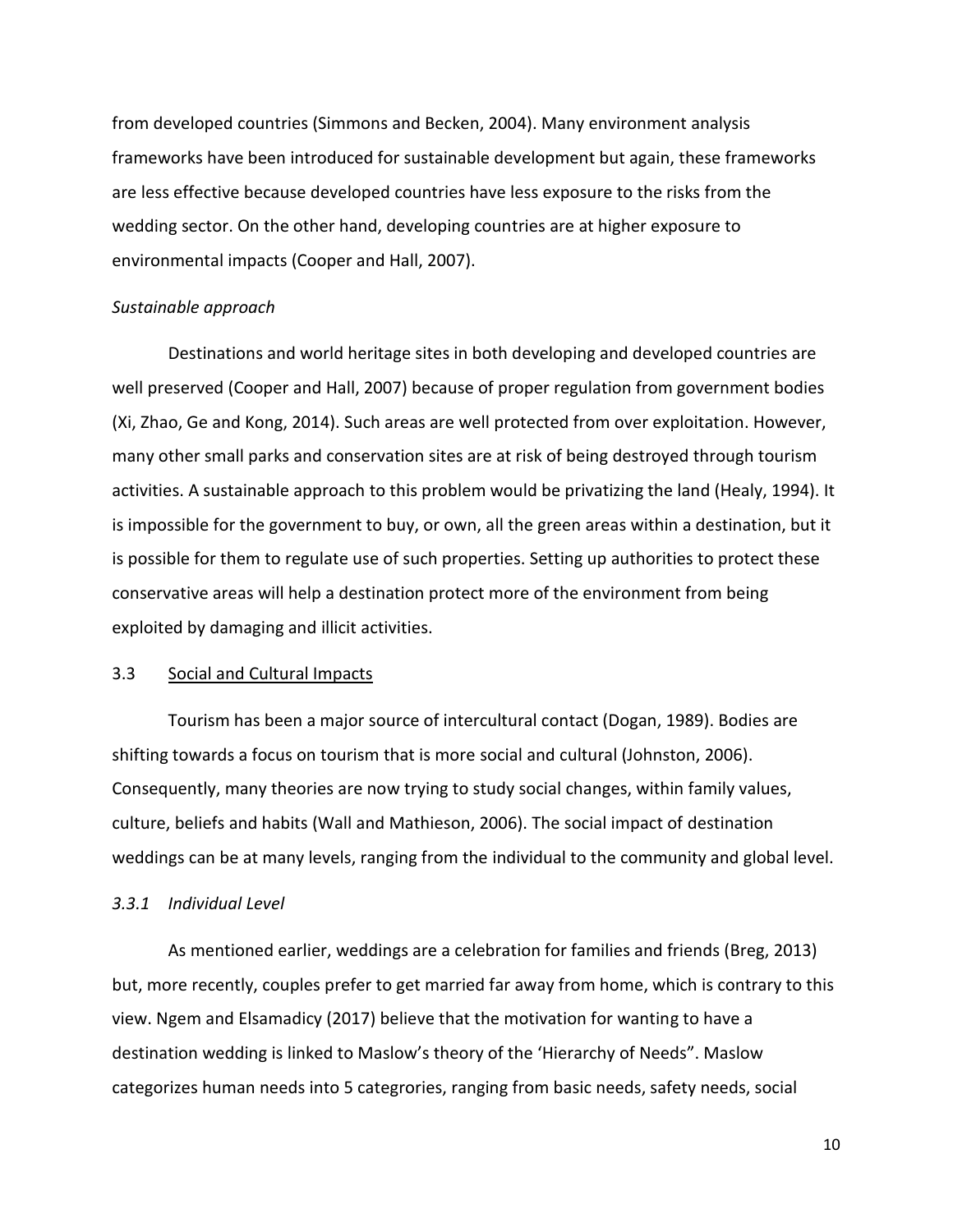from developed countries (Simmons and Becken, 2004). Many environment analysis frameworks have been introduced for sustainable development but again, these frameworks are less effective because developed countries have less exposure to the risks from the wedding sector. On the other hand, developing countries are at higher exposure to environmental impacts (Cooper and Hall, 2007).

### *Sustainable approach*

Destinations and world heritage sites in both developing and developed countries are well preserved (Cooper and Hall, 2007) because of proper regulation from government bodies (Xi, Zhao, Ge and Kong, 2014). Such areas are well protected from over exploitation. However, many other small parks and conservation sites are at risk of being destroyed through tourism activities. A sustainable approach to this problem would be privatizing the land (Healy, 1994). It is impossible for the government to buy, or own, all the green areas within a destination, but it is possible for them to regulate use of such properties. Setting up authorities to protect these conservative areas will help a destination protect more of the environment from being exploited by damaging and illicit activities.

#### 3.3 Social and Cultural Impacts

Tourism has been a major source of intercultural contact (Dogan, 1989). Bodies are shifting towards a focus on tourism that is more social and cultural (Johnston, 2006). Consequently, many theories are now trying to study social changes, within family values, culture, beliefs and habits (Wall and Mathieson, 2006). The social impact of destination weddings can be at many levels, ranging from the individual to the community and global level.

#### *3.3.1 Individual Level*

As mentioned earlier, weddings are a celebration for families and friends (Breg, 2013) but, more recently, couples prefer to get married far away from home, which is contrary to this view. Ngem and Elsamadicy (2017) believe that the motivation for wanting to have a destination wedding is linked to Maslow's theory of the 'Hierarchy of Needs". Maslow categorizes human needs into 5 categrories, ranging from basic needs, safety needs, social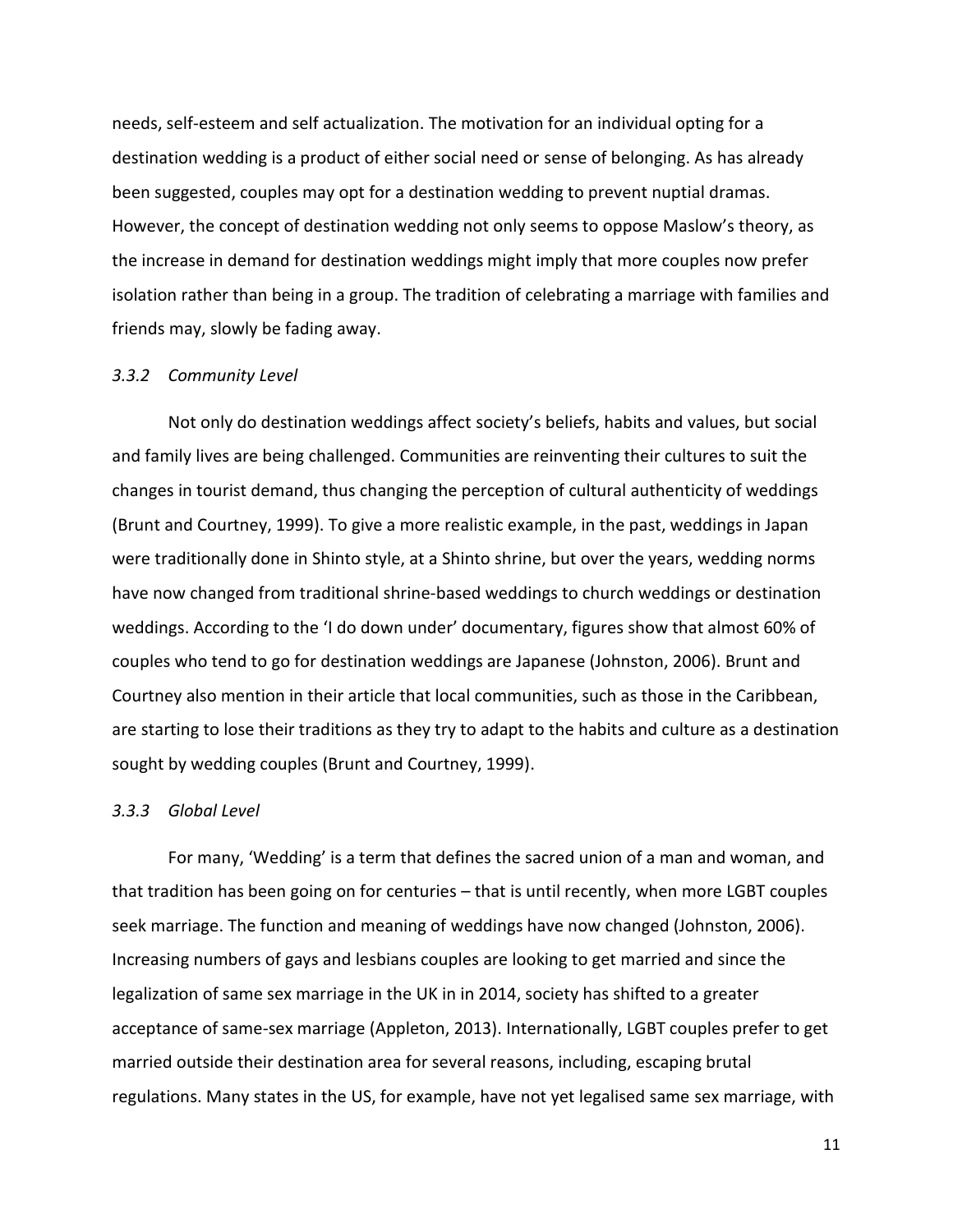needs, self-esteem and self actualization. The motivation for an individual opting for a destination wedding is a product of either social need or sense of belonging. As has already been suggested, couples may opt for a destination wedding to prevent nuptial dramas. However, the concept of destination wedding not only seems to oppose Maslow's theory, as the increase in demand for destination weddings might imply that more couples now prefer isolation rather than being in a group. The tradition of celebrating a marriage with families and friends may, slowly be fading away.

### *3.3.2 Community Level*

Not only do destination weddings affect society's beliefs, habits and values, but social and family lives are being challenged. Communities are reinventing their cultures to suit the changes in tourist demand, thus changing the perception of cultural authenticity of weddings (Brunt and Courtney, 1999). To give a more realistic example, in the past, weddings in Japan were traditionally done in Shinto style, at a Shinto shrine, but over the years, wedding norms have now changed from traditional shrine-based weddings to church weddings or destination weddings. According to the 'I do down under' documentary, figures show that almost 60% of couples who tend to go for destination weddings are Japanese (Johnston, 2006). Brunt and Courtney also mention in their article that local communities, such as those in the Caribbean, are starting to lose their traditions as they try to adapt to the habits and culture as a destination sought by wedding couples (Brunt and Courtney, 1999).

#### *3.3.3 Global Level*

For many, 'Wedding' is a term that defines the sacred union of a man and woman, and that tradition has been going on for centuries – that is until recently, when more LGBT couples seek marriage. The function and meaning of weddings have now changed (Johnston, 2006). Increasing numbers of gays and lesbians couples are looking to get married and since the legalization of same sex marriage in the UK in in 2014, society has shifted to a greater acceptance of same-sex marriage (Appleton, 2013). Internationally, LGBT couples prefer to get married outside their destination area for several reasons, including, escaping brutal regulations. Many states in the US, for example, have not yet legalised same sex marriage, with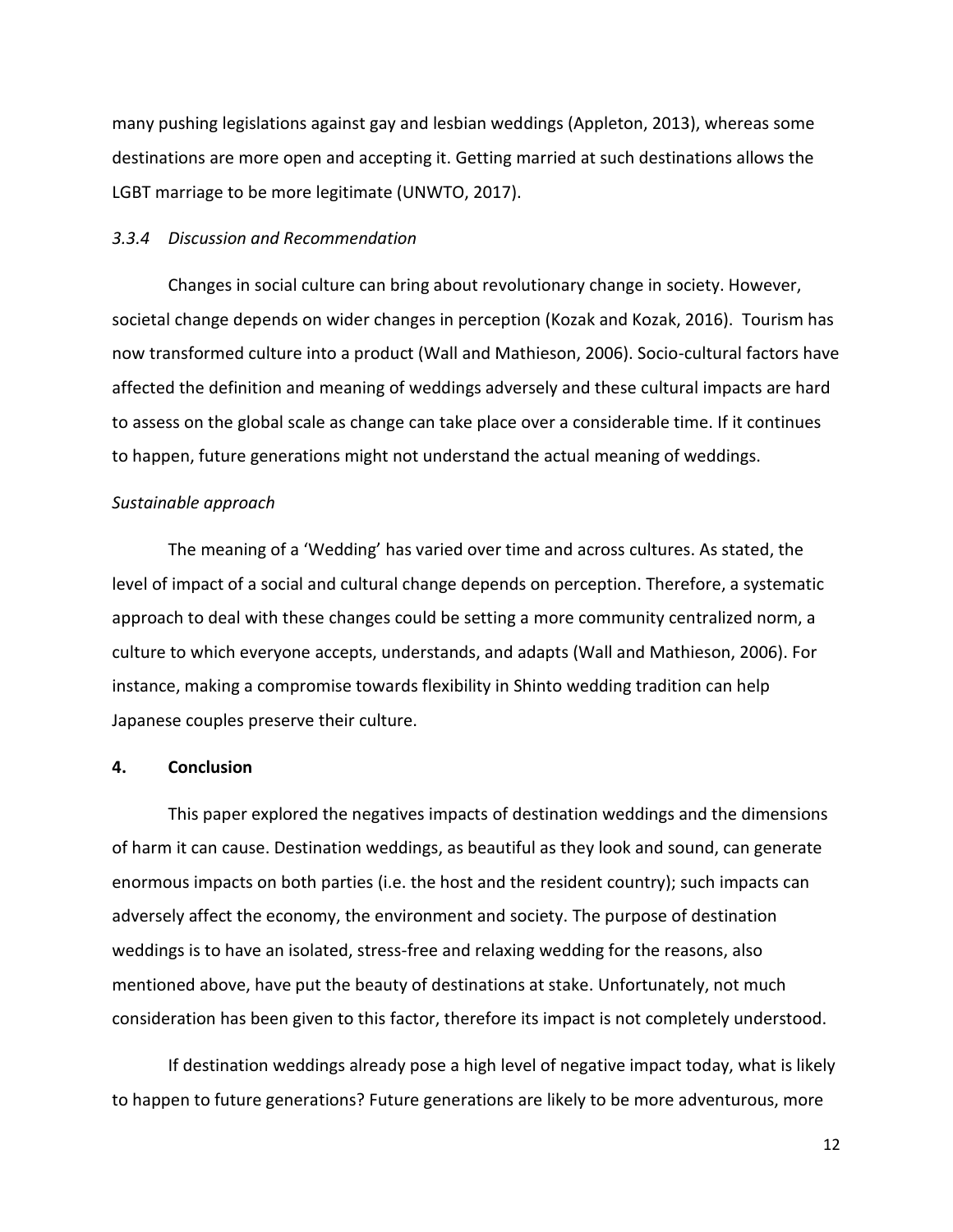many pushing legislations against gay and lesbian weddings (Appleton, 2013), whereas some destinations are more open and accepting it. Getting married at such destinations allows the LGBT marriage to be more legitimate (UNWTO, 2017).

### *3.3.4 Discussion and Recommendation*

Changes in social culture can bring about revolutionary change in society. However, societal change depends on wider changes in perception (Kozak and Kozak, 2016). Tourism has now transformed culture into a product (Wall and Mathieson, 2006). Socio-cultural factors have affected the definition and meaning of weddings adversely and these cultural impacts are hard to assess on the global scale as change can take place over a considerable time. If it continues to happen, future generations might not understand the actual meaning of weddings.

#### *Sustainable approach*

The meaning of a 'Wedding' has varied over time and across cultures. As stated, the level of impact of a social and cultural change depends on perception. Therefore, a systematic approach to deal with these changes could be setting a more community centralized norm, a culture to which everyone accepts, understands, and adapts (Wall and Mathieson, 2006). For instance, making a compromise towards flexibility in Shinto wedding tradition can help Japanese couples preserve their culture.

#### **4. Conclusion**

This paper explored the negatives impacts of destination weddings and the dimensions of harm it can cause. Destination weddings, as beautiful as they look and sound, can generate enormous impacts on both parties (i.e. the host and the resident country); such impacts can adversely affect the economy, the environment and society. The purpose of destination weddings is to have an isolated, stress-free and relaxing wedding for the reasons, also mentioned above, have put the beauty of destinations at stake. Unfortunately, not much consideration has been given to this factor, therefore its impact is not completely understood.

If destination weddings already pose a high level of negative impact today, what is likely to happen to future generations? Future generations are likely to be more adventurous, more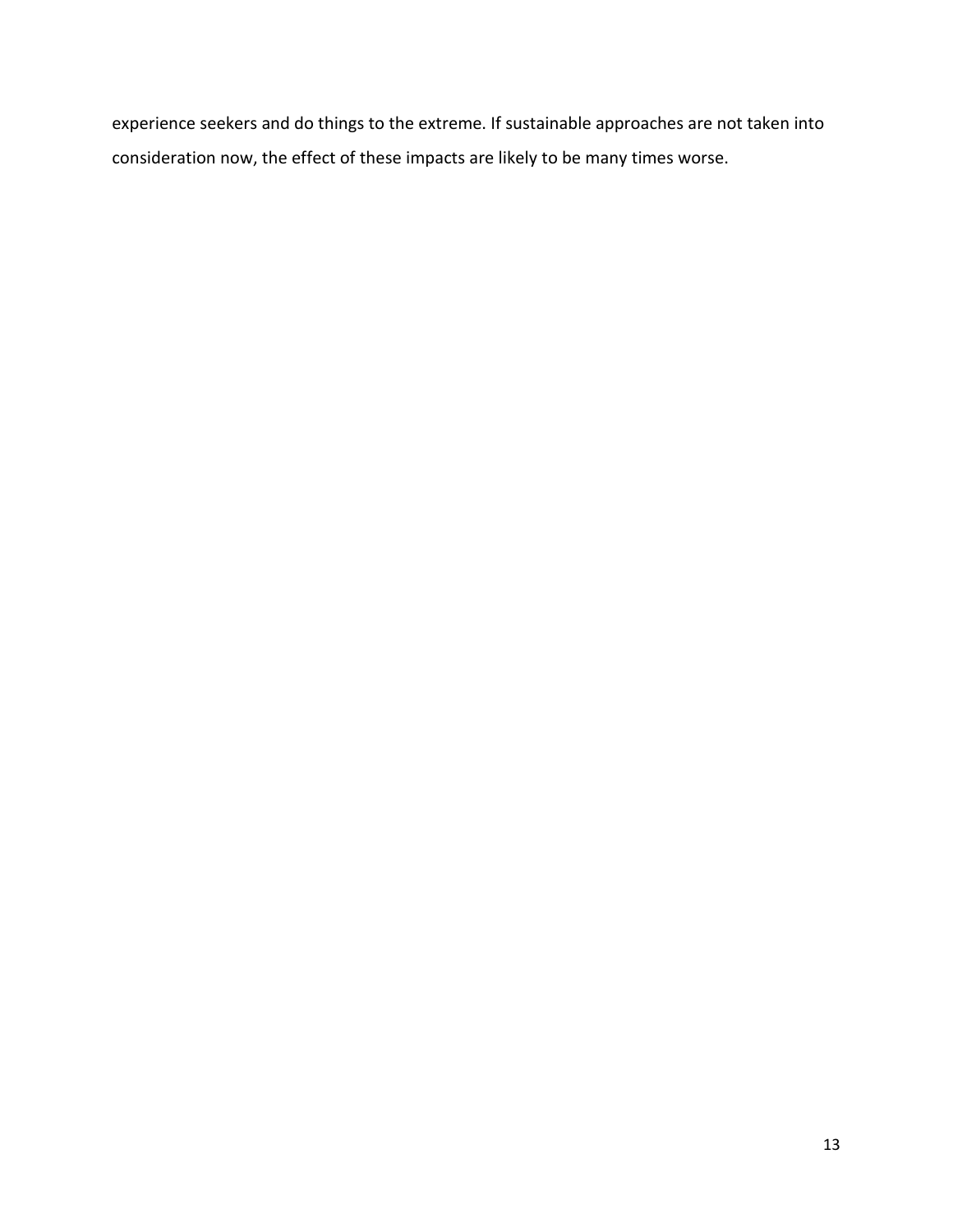experience seekers and do things to the extreme. If sustainable approaches are not taken into consideration now, the effect of these impacts are likely to be many times worse.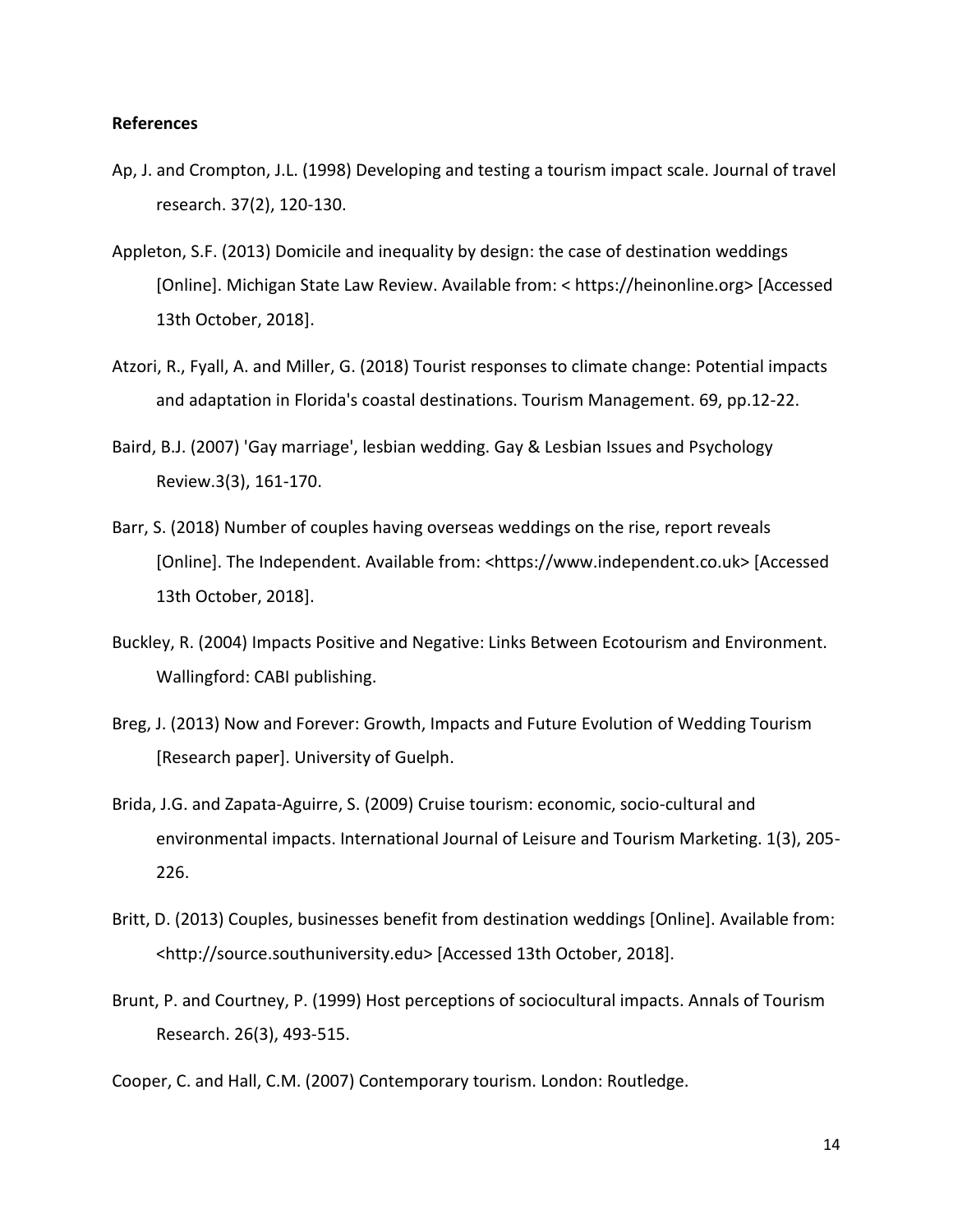# **References**

- Ap, J. and Crompton, J.L. (1998) Developing and testing a tourism impact scale. Journal of travel research. 37(2), 120-130.
- Appleton, S.F. (2013) Domicile and inequality by design: the case of destination weddings [Online]. Michigan State Law Review. Available from: < https://heinonline.org> [Accessed 13th October, 2018].
- Atzori, R., Fyall, A. and Miller, G. (2018) Tourist responses to climate change: Potential impacts and adaptation in Florida's coastal destinations. Tourism Management. 69, pp.12-22.
- Baird, B.J. (2007) 'Gay marriage', lesbian wedding. Gay & Lesbian Issues and Psychology Review.3(3), 161-170.
- Barr, S. (2018) Number of couples having overseas weddings on the rise, report reveals [Online]. The Independent. Available from: <https://www.independent.co.uk> [Accessed 13th October, 2018].
- Buckley, R. (2004) Impacts Positive and Negative: Links Between Ecotourism and Environment. Wallingford: CABI publishing.
- Breg, J. (2013) Now and Forever: Growth, Impacts and Future Evolution of Wedding Tourism [Research paper]. University of Guelph.
- Brida, J.G. and Zapata-Aguirre, S. (2009) Cruise tourism: economic, socio-cultural and environmental impacts. International Journal of Leisure and Tourism Marketing. 1(3), 205- 226.
- Britt, D. (2013) Couples, businesses benefit from destination weddings [Online]. Available from: <http://source.southuniversity.edu> [Accessed 13th October, 2018].
- Brunt, P. and Courtney, P. (1999) Host perceptions of sociocultural impacts. Annals of Tourism Research. 26(3), 493-515.
- Cooper, C. and Hall, C.M. (2007) Contemporary tourism. London: Routledge.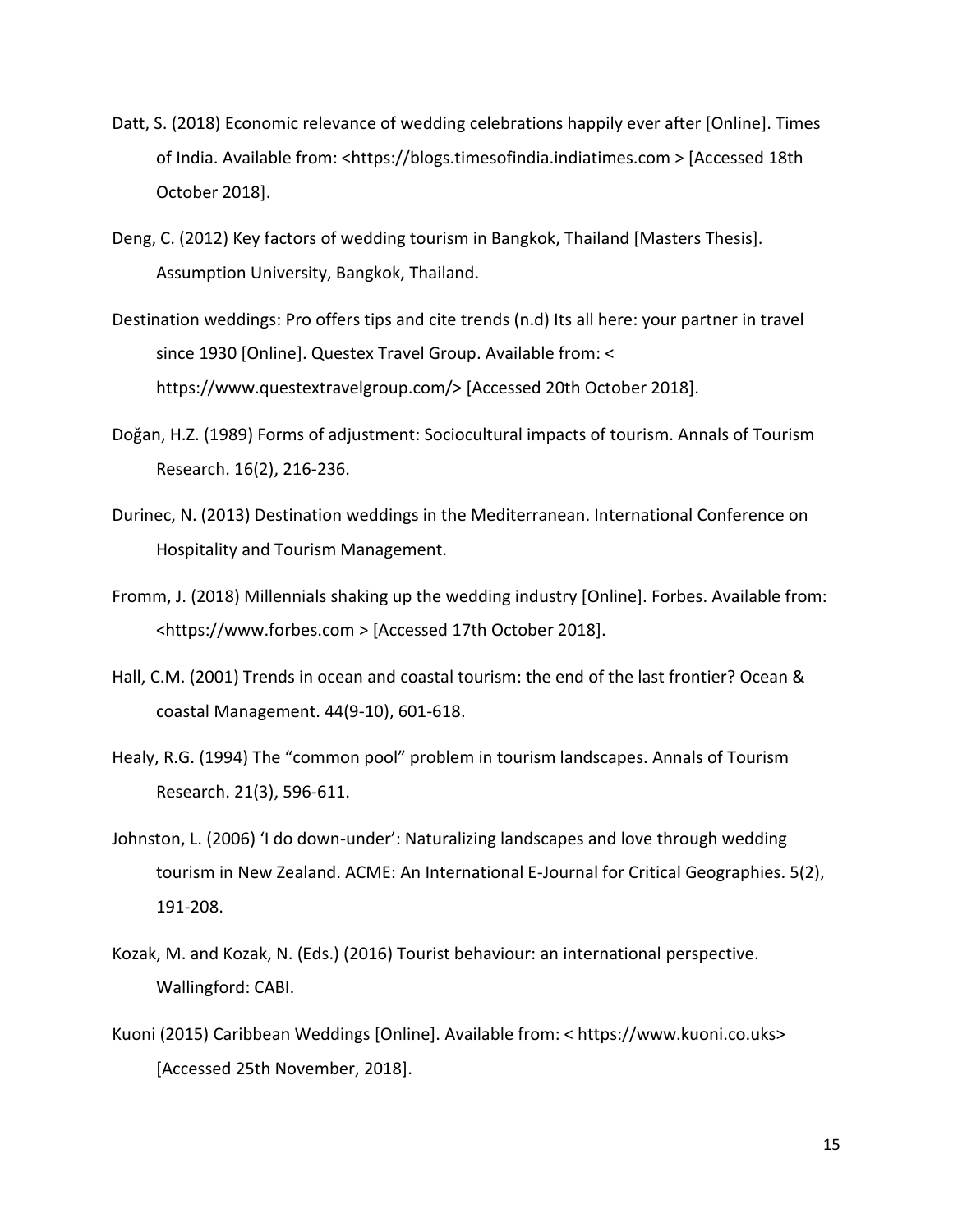- Datt, S. (2018) Economic relevance of wedding celebrations happily ever after [Online]. Times of India. Available from: <https://blogs.timesofindia.indiatimes.com > [Accessed 18th October 2018].
- Deng, C. (2012) Key factors of wedding tourism in Bangkok, Thailand [Masters Thesis]. Assumption University, Bangkok, Thailand.
- Destination weddings: Pro offers tips and cite trends (n.d) Its all here: your partner in travel since 1930 [Online]. Questex Travel Group. Available from: < https://www.questextravelgroup.com/> [Accessed 20th October 2018].
- Doǧan, H.Z. (1989) Forms of adjustment: Sociocultural impacts of tourism. Annals of Tourism Research. 16(2), 216-236.
- Durinec, N. (2013) Destination weddings in the Mediterranean. International Conference on Hospitality and Tourism Management.
- Fromm, J. (2018) Millennials shaking up the wedding industry [Online]. Forbes. Available from: <https://www.forbes.com > [Accessed 17th October 2018].
- Hall, C.M. (2001) Trends in ocean and coastal tourism: the end of the last frontier? Ocean & coastal Management. 44(9-10), 601-618.
- Healy, R.G. (1994) The "common pool" problem in tourism landscapes. Annals of Tourism Research. 21(3), 596-611.
- Johnston, L. (2006) 'I do down-under': Naturalizing landscapes and love through wedding tourism in New Zealand. ACME: An International E-Journal for Critical Geographies. 5(2), 191-208.
- Kozak, M. and Kozak, N. (Eds.) (2016) Tourist behaviour: an international perspective. Wallingford: CABI.
- Kuoni (2015) Caribbean Weddings [Online]. Available from: < https://www.kuoni.co.uks> [Accessed 25th November, 2018].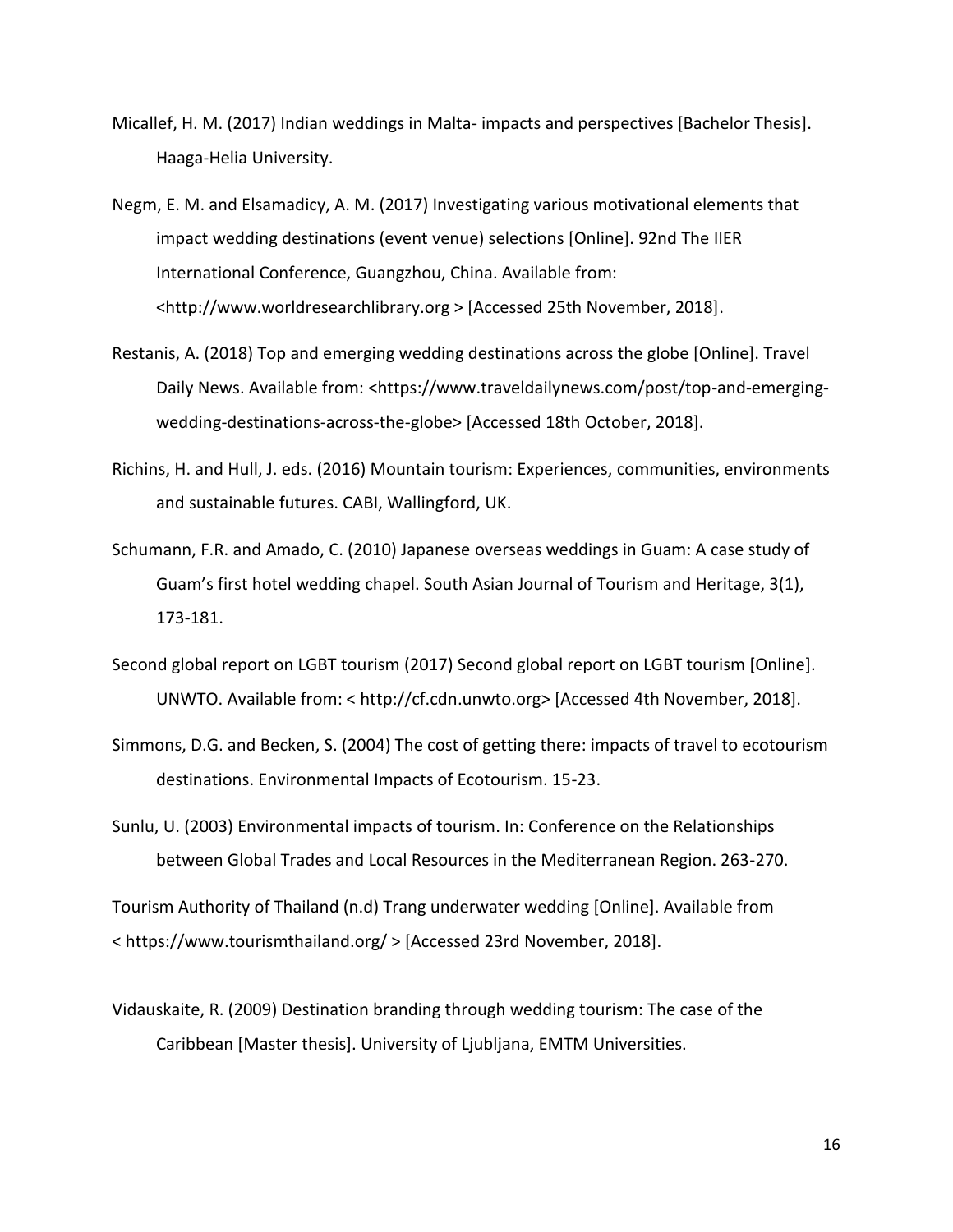- Micallef, H. M. (2017) Indian weddings in Malta- impacts and perspectives [Bachelor Thesis]. Haaga-Helia University.
- Negm, E. M. and Elsamadicy, A. M. (2017) Investigating various motivational elements that impact wedding destinations (event venue) selections [Online]. 92nd The IIER International Conference, Guangzhou, China. Available from: <http://www.worldresearchlibrary.org > [Accessed 25th November, 2018].
- Restanis, A. (2018) Top and emerging wedding destinations across the globe [Online]. Travel Daily News. Available from: <https://www.traveldailynews.com/post/top-and-emergingwedding-destinations-across-the-globe> [Accessed 18th October, 2018].
- Richins, H. and Hull, J. eds. (2016) Mountain tourism: Experiences, communities, environments and sustainable futures. CABI, Wallingford, UK.
- Schumann, F.R. and Amado, C. (2010) Japanese overseas weddings in Guam: A case study of Guam's first hotel wedding chapel. South Asian Journal of Tourism and Heritage, 3(1), 173-181.
- Second global report on LGBT tourism (2017) Second global report on LGBT tourism [Online]. UNWTO. Available from: < http://cf.cdn.unwto.org> [Accessed 4th November, 2018].
- Simmons, D.G. and Becken, S. (2004) The cost of getting there: impacts of travel to ecotourism destinations. Environmental Impacts of Ecotourism. 15-23.
- Sunlu, U. (2003) Environmental impacts of tourism. In: Conference on the Relationships between Global Trades and Local Resources in the Mediterranean Region. 263-270.

Tourism Authority of Thailand (n.d) Trang underwater wedding [Online]. Available from < https://www.tourismthailand.org/ > [Accessed 23rd November, 2018].

Vidauskaite, R. (2009) Destination branding through wedding tourism: The case of the Caribbean [Master thesis]. University of Ljubljana, EMTM Universities.